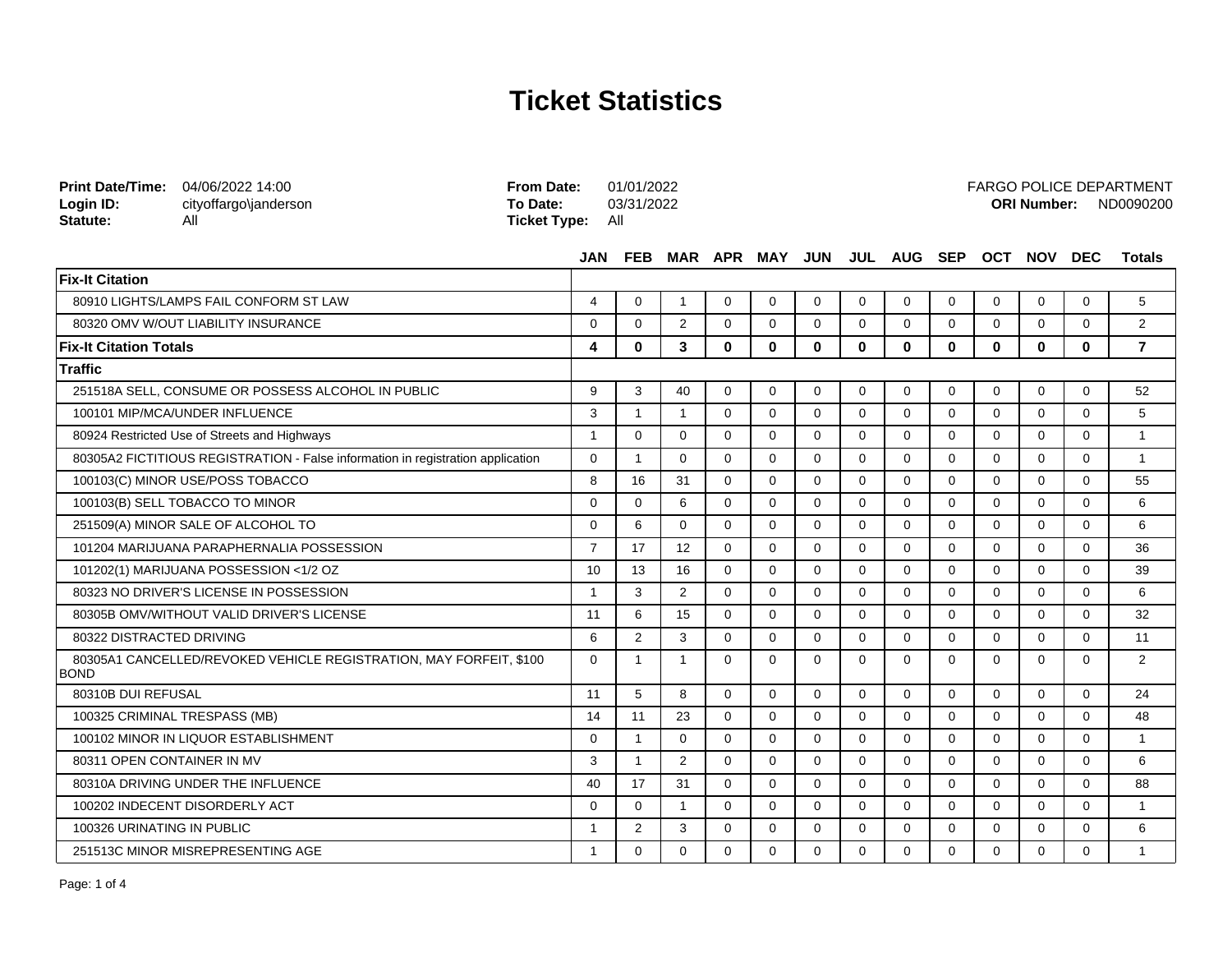| Login ID:<br>Statute:                        | Print Date/Time: 04/06/2022 14:00<br>cityoffargo\janderson<br>All               | <b>From Date:</b><br>To Date:<br><b>Ticket Type:</b> | 01/01/2022<br>03/31/2022<br>All |                |                |              |                 |             |             |              | <b>FARGO POLICE DEPARTMENT</b><br>ND0090200<br><b>ORI Number:</b> |              |             |            |                |  |  |
|----------------------------------------------|---------------------------------------------------------------------------------|------------------------------------------------------|---------------------------------|----------------|----------------|--------------|-----------------|-------------|-------------|--------------|-------------------------------------------------------------------|--------------|-------------|------------|----------------|--|--|
|                                              |                                                                                 |                                                      | JAN                             | <b>FEB</b>     |                |              | MAR APR MAY JUN |             |             | JUL AUG SEP  |                                                                   | <b>OCT</b>   | <b>NOV</b>  | <b>DEC</b> | <b>Totals</b>  |  |  |
| <b>Fix-It Citation</b>                       |                                                                                 |                                                      |                                 |                |                |              |                 |             |             |              |                                                                   |              |             |            |                |  |  |
|                                              | 80910 LIGHTS/LAMPS FAIL CONFORM ST LAW                                          |                                                      | $\overline{4}$                  | $\Omega$       | $\mathbf{1}$   | $\Omega$     | $\Omega$        | $\Omega$    | $\Omega$    | $\Omega$     | $\mathbf 0$                                                       | $\Omega$     | $\Omega$    | $\Omega$   | 5              |  |  |
|                                              | 80320 OMV W/OUT LIABILITY INSURANCE                                             |                                                      | $\Omega$                        | $\Omega$       | 2              | $\Omega$     | $\Omega$        | $\Omega$    | $\Omega$    | $\Omega$     | $\mathbf 0$                                                       | $\Omega$     | $\Omega$    | $\Omega$   | 2              |  |  |
| <b>Fix-It Citation Totals</b>                |                                                                                 |                                                      | 4                               | $\bf{0}$       | $\mathbf{3}$   | $\mathbf{0}$ | $\mathbf{0}$    | 0           | 0           | $\mathbf{0}$ | $\mathbf{0}$                                                      | $\mathbf{0}$ | 0           | 0          | $\overline{7}$ |  |  |
| <b>Traffic</b>                               |                                                                                 |                                                      |                                 |                |                |              |                 |             |             |              |                                                                   |              |             |            |                |  |  |
|                                              | 251518A SELL, CONSUME OR POSSESS ALCOHOL IN PUBLIC                              |                                                      | 9                               | 3              | 40             | $\Omega$     | $\Omega$        | $\Omega$    | $\mathbf 0$ | $\Omega$     | $\Omega$                                                          | $\Omega$     | $\mathbf 0$ | $\Omega$   | 52             |  |  |
|                                              | 100101 MIP/MCA/UNDER INFLUENCE                                                  |                                                      | 3                               | $\mathbf{1}$   | $\mathbf{1}$   | $\Omega$     | $\Omega$        | $\Omega$    | $\Omega$    | $\Omega$     | $\Omega$                                                          | $\Omega$     | $\Omega$    | $\Omega$   | 5              |  |  |
| 80924 Restricted Use of Streets and Highways |                                                                                 |                                                      | $\mathbf{1}$                    | $\Omega$       | $\Omega$       | $\Omega$     | $\Omega$        | $\Omega$    | $\Omega$    | $\Omega$     | 0                                                                 | $\Omega$     | $\Omega$    | $\Omega$   | $\mathbf{1}$   |  |  |
|                                              | 80305A2 FICTITIOUS REGISTRATION - False information in registration application |                                                      | $\Omega$                        | $\mathbf{1}$   | $\Omega$       | $\Omega$     | $\Omega$        | $\Omega$    | $\Omega$    | $\Omega$     | $\Omega$                                                          | $\Omega$     | $\Omega$    | $\Omega$   | $\mathbf{1}$   |  |  |
|                                              | 100103(C) MINOR USE/POSS TOBACCO                                                |                                                      | 8                               | 16             | 31             | $\Omega$     | $\Omega$        | $\Omega$    | $\Omega$    | $\Omega$     | $\Omega$                                                          | $\Omega$     | $\Omega$    | $\Omega$   | 55             |  |  |
|                                              | 100103(B) SELL TOBACCO TO MINOR                                                 |                                                      | $\Omega$                        | $\Omega$       | 6              | $\Omega$     | $\Omega$        | $\Omega$    | $\Omega$    | $\Omega$     | $\Omega$                                                          | $\Omega$     | $\Omega$    | $\Omega$   | 6              |  |  |
|                                              | 251509(A) MINOR SALE OF ALCOHOL TO                                              |                                                      | $\Omega$                        | 6              | $\Omega$       | $\Omega$     | $\Omega$        | $\Omega$    | $\Omega$    | 0            | $\Omega$                                                          | $\Omega$     | $\Omega$    | $\Omega$   | 6              |  |  |
|                                              | 101204 MARIJUANA PARAPHERNALIA POSSESSION                                       |                                                      | $\overline{7}$                  | 17             | 12             | $\Omega$     | $\Omega$        | $\Omega$    | $\Omega$    | $\Omega$     | $\Omega$                                                          | $\Omega$     | $\Omega$    | $\Omega$   | 36             |  |  |
|                                              | 101202(1) MARIJUANA POSSESSION <1/2 OZ                                          |                                                      | 10 <sup>1</sup>                 | 13             | 16             | $\Omega$     | $\Omega$        | $\Omega$    | $\Omega$    | $\Omega$     | $\Omega$                                                          | $\Omega$     | $\Omega$    | $\Omega$   | 39             |  |  |
|                                              | 80323 NO DRIVER'S LICENSE IN POSSESSION                                         |                                                      | $\mathbf{1}$                    | 3              | $\overline{2}$ | $\Omega$     | $\Omega$        | $\Omega$    | $\Omega$    | $\Omega$     | 0                                                                 | $\Omega$     | $\mathbf 0$ | $\Omega$   | 6              |  |  |
|                                              | 80305B OMV/WITHOUT VALID DRIVER'S LICENSE                                       |                                                      | 11                              | 6              | 15             | $\Omega$     | $\Omega$        | $\Omega$    | $\Omega$    | $\Omega$     | 0                                                                 | $\Omega$     | $\Omega$    | $\Omega$   | 32             |  |  |
| 80322 DISTRACTED DRIVING                     |                                                                                 |                                                      | 6                               | 2              | 3              | $\mathbf 0$  | $\mathbf 0$     | 0           | 0           | $\mathbf 0$  | $\mathbf 0$                                                       | $\Omega$     | $\mathbf 0$ | $\Omega$   | 11             |  |  |
| <b>BOND</b>                                  | 80305A1 CANCELLED/REVOKED VEHICLE REGISTRATION, MAY FORFEIT, \$100              |                                                      | $\Omega$                        | $\overline{1}$ | $\mathbf{1}$   | $\Omega$     | $\Omega$        | $\Omega$    | $\Omega$    | $\Omega$     | $\Omega$                                                          | $\Omega$     | $\Omega$    | $\Omega$   | 2              |  |  |
| 80310B DUI REFUSAL                           |                                                                                 |                                                      | 11                              | 5              | 8              | $\Omega$     | $\Omega$        | $\Omega$    | $\Omega$    | $\Omega$     | $\Omega$                                                          | $\Omega$     | $\Omega$    | $\Omega$   | 24             |  |  |
|                                              | 100325 CRIMINAL TRESPASS (MB)                                                   |                                                      | 14                              | 11             | 23             | $\Omega$     | $\Omega$        | $\Omega$    | $\Omega$    | $\Omega$     | $\Omega$                                                          | $\Omega$     | $\Omega$    | $\Omega$   | 48             |  |  |
| 100102 MINOR IN LIQUOR ESTABLISHMENT         |                                                                                 |                                                      | $\Omega$                        | $\mathbf{1}$   | $\Omega$       | $\Omega$     | $\Omega$        | $\Omega$    | $\Omega$    | $\Omega$     | $\Omega$                                                          | $\Omega$     | $\Omega$    | $\Omega$   | $\mathbf{1}$   |  |  |
| 80311 OPEN CONTAINER IN MV                   |                                                                                 | 3                                                    | $\mathbf{1}$                    | $\overline{2}$ | $\Omega$       | $\Omega$     | $\Omega$        | $\Omega$    | $\Omega$    | $\Omega$     | $\Omega$                                                          | $\Omega$     | $\Omega$    | 6          |                |  |  |
| 80310A DRIVING UNDER THE INFLUENCE           |                                                                                 | 40                                                   | 17                              | 31             | $\Omega$       | $\mathbf 0$  | 0               | $\mathbf 0$ | 0           | $\mathbf 0$  | $\mathbf 0$                                                       | $\mathbf 0$  | $\mathbf 0$ | 88         |                |  |  |
|                                              | 100202 INDECENT DISORDERLY ACT                                                  |                                                      | $\Omega$                        | $\Omega$       | $\mathbf{1}$   | $\Omega$     | $\Omega$        | $\Omega$    | $\Omega$    | $\Omega$     | $\mathbf 0$                                                       | $\Omega$     | $\Omega$    | $\Omega$   | $\mathbf{1}$   |  |  |
| 100326 URINATING IN PUBLIC                   |                                                                                 |                                                      | $\mathbf{1}$                    | 2              | 3              | $\Omega$     | $\Omega$        | $\Omega$    | $\Omega$    | $\Omega$     | $\Omega$                                                          | $\Omega$     | $\mathbf 0$ | $\Omega$   | 6              |  |  |
| 251513C MINOR MISREPRESENTING AGE            |                                                                                 |                                                      | $\mathbf{1}$                    | $\Omega$       | $\Omega$       | $\Omega$     | $\Omega$        | $\Omega$    | $\Omega$    | $\Omega$     | $\Omega$                                                          | $\Omega$     | $\Omega$    | $\Omega$   | $\mathbf{1}$   |  |  |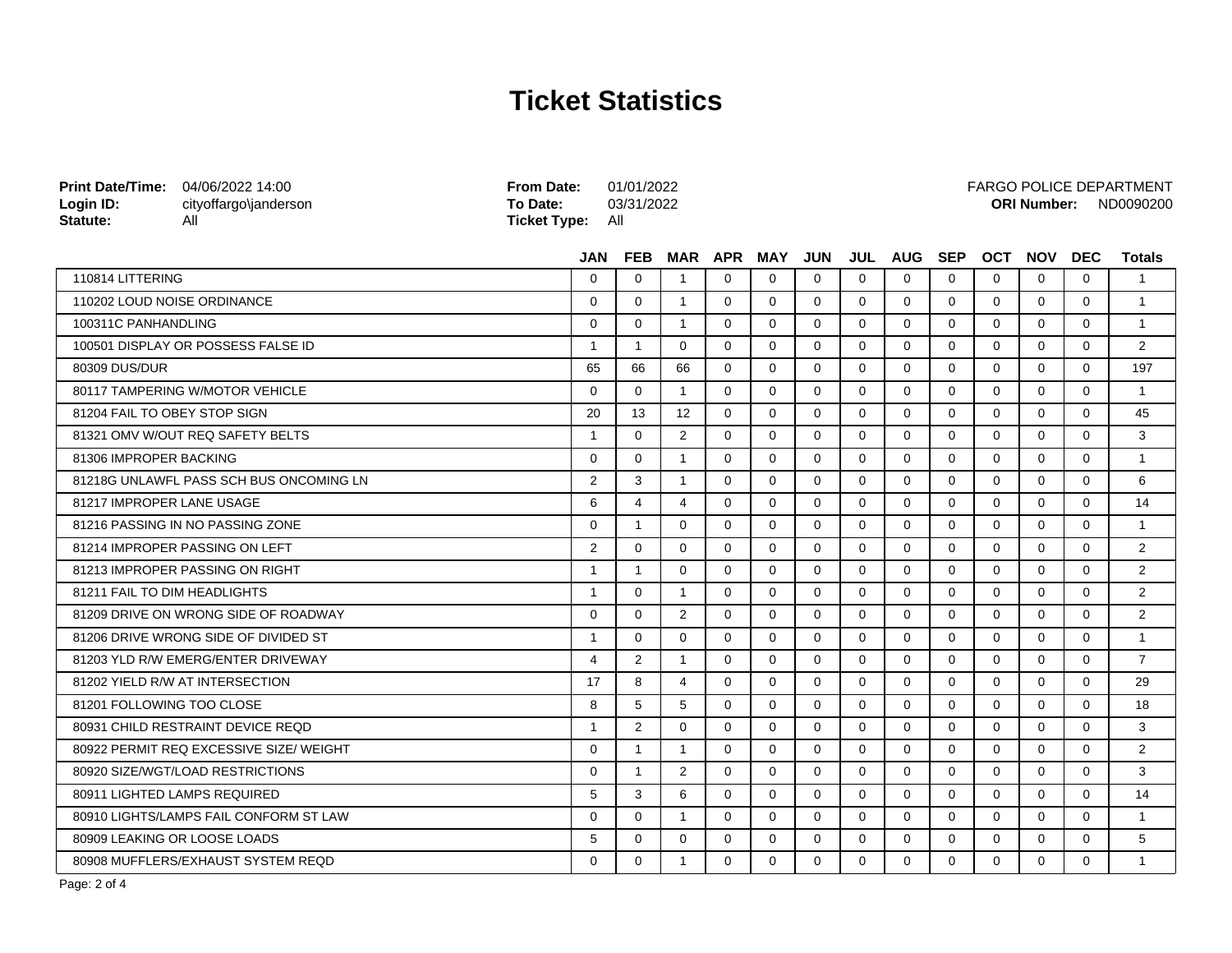| Login ID:<br>Statute:        | Print Date/Time: 04/06/2022 14:00<br>cityoffargo\janderson<br>All | <b>From Date:</b><br>To Date:<br><b>Ticket Type:</b> | 01/01/2022<br>03/31/2022<br>All |                |              |              |             |             |             |             | <b>ORI Number:</b> |             | <b>FARGO POLICE DEPARTMENT</b><br>ND0090200 |                |
|------------------------------|-------------------------------------------------------------------|------------------------------------------------------|---------------------------------|----------------|--------------|--------------|-------------|-------------|-------------|-------------|--------------------|-------------|---------------------------------------------|----------------|
|                              |                                                                   | JAN                                                  | <b>FEB</b>                      |                |              | MAR APR MAY  | <b>JUN</b>  |             | JUL AUG SEP |             | <b>OCT</b>         | <b>NOV</b>  | <b>DEC</b>                                  | <b>Totals</b>  |
| 110814 LITTERING             |                                                                   | $\Omega$                                             | $\Omega$                        | $\overline{1}$ | $\Omega$     | $\Omega$     | $\Omega$    | $\Omega$    | $\Omega$    | $\Omega$    | $\Omega$           | $\Omega$    | $\Omega$                                    | $\mathbf{1}$   |
| 110202 LOUD NOISE ORDINANCE  |                                                                   | $\Omega$                                             | $\mathbf{0}$                    | $\overline{1}$ | $\Omega$     | $\Omega$     | $\Omega$    | $\Omega$    | $\Omega$    | $\Omega$    | $\Omega$           | $\Omega$    | $\Omega$                                    | $\overline{1}$ |
| 100311C PANHANDLING          |                                                                   | $\mathbf 0$                                          | $\mathbf 0$                     | $\overline{1}$ | $\mathbf 0$  | $\mathbf{0}$ | 0           | 0           | $\mathbf 0$ | $\mathbf 0$ | $\mathbf 0$        | $\mathbf 0$ | $\mathbf 0$                                 | $\mathbf{1}$   |
|                              | 100501 DISPLAY OR POSSESS FALSE ID                                | $\mathbf{1}$                                         | $\overline{1}$                  | $\mathbf 0$    | $\mathbf{0}$ | $\mathbf{0}$ | $\mathbf 0$ | $\mathbf 0$ | $\mathbf 0$ | $\mathbf 0$ | $\mathbf 0$        | $\mathbf 0$ | $\mathbf 0$                                 | 2              |
| 80309 DUS/DUR                |                                                                   | 65                                                   | 66                              | 66             | $\Omega$     | 0            | $\Omega$    | $\Omega$    | $\Omega$    | $\Omega$    | $\Omega$           | $\mathbf 0$ | $\Omega$                                    | 197            |
|                              | 80117 TAMPERING W/MOTOR VEHICLE                                   | $\Omega$                                             | $\Omega$                        | $\mathbf{1}$   | $\Omega$     | 0            | $\Omega$    | $\Omega$    | $\Omega$    | $\Omega$    | $\Omega$           | $\Omega$    | $\Omega$                                    | $\mathbf{1}$   |
| 81204 FAIL TO OBEY STOP SIGN |                                                                   | 20                                                   | 13                              | 12             | $\Omega$     | $\Omega$     | $\Omega$    | $\Omega$    | $\Omega$    | $\Omega$    | $\Omega$           | $\Omega$    | $\Omega$                                    | 45             |
|                              | 81321 OMV W/OUT REQ SAFETY BELTS                                  | $\mathbf{1}$                                         | $\mathbf 0$                     | $\overline{2}$ | $\mathbf 0$  | 0            | 0           | 0           | $\mathbf 0$ | 0           | $\mathbf 0$        | $\mathbf 0$ | $\mathbf 0$                                 | 3              |
| 81306 IMPROPER BACKING       |                                                                   | $\mathbf 0$                                          | $\mathbf 0$                     | $\mathbf{1}$   | $\mathbf 0$  | $\mathbf 0$  | $\mathbf 0$ | $\mathbf 0$ | $\mathbf 0$ | $\mathbf 0$ | $\mathbf 0$        | $\mathbf 0$ | $\mathbf 0$                                 | $\overline{1}$ |
|                              | 81218G UNLAWFL PASS SCH BUS ONCOMING LN                           | 2                                                    | 3                               | $\mathbf{1}$   | $\Omega$     | 0            | $\Omega$    | $\Omega$    | $\Omega$    | $\Omega$    | $\Omega$           | $\mathbf 0$ | $\Omega$                                    | 6              |
| 81217 IMPROPER LANE USAGE    |                                                                   | 6                                                    | $\overline{4}$                  | 4              | $\Omega$     | 0            | $\Omega$    | $\Omega$    | $\Omega$    | $\Omega$    | $\Omega$           | $\Omega$    | $\Omega$                                    | 14             |
|                              | 81216 PASSING IN NO PASSING ZONE                                  | $\Omega$                                             | $\mathbf{1}$                    | $\Omega$       | $\Omega$     | $\Omega$     | $\Omega$    | $\Omega$    | $\Omega$    | $\Omega$    | $\Omega$           | $\Omega$    | $\Omega$                                    | $\overline{1}$ |
|                              | 81214 IMPROPER PASSING ON LEFT                                    | 2                                                    | $\mathbf 0$                     | 0              | $\mathbf 0$  | 0            | 0           | 0           | $\mathbf 0$ | $\mathbf 0$ | $\mathbf 0$        | $\mathbf 0$ | $\mathbf 0$                                 | 2              |
|                              | 81213 IMPROPER PASSING ON RIGHT                                   | $\mathbf{1}$                                         | $\overline{1}$                  | $\mathbf 0$    | $\mathbf 0$  | $\mathbf 0$  | $\mathbf 0$ | $\mathbf 0$ | $\mathbf 0$ | $\mathbf 0$ | $\mathbf 0$        | $\mathbf 0$ | $\mathbf 0$                                 | 2              |
| 81211 FAIL TO DIM HEADLIGHTS |                                                                   | $\mathbf{1}$                                         | $\mathbf 0$                     | $\mathbf{1}$   | $\Omega$     | 0            | $\Omega$    | $\Omega$    | $\Omega$    | $\Omega$    | $\Omega$           | $\Omega$    | $\Omega$                                    | 2              |
|                              | 81209 DRIVE ON WRONG SIDE OF ROADWAY                              | $\Omega$                                             | $\Omega$                        | 2              | $\Omega$     | 0            | $\Omega$    | $\Omega$    | $\Omega$    | $\Omega$    | $\Omega$           | $\Omega$    | $\Omega$                                    | 2              |
|                              | 81206 DRIVE WRONG SIDE OF DIVIDED ST                              | -1                                                   | $\Omega$                        | $\Omega$       | $\Omega$     | $\Omega$     | $\Omega$    | $\Omega$    | $\Omega$    | $\Omega$    | $\Omega$           | $\Omega$    | $\Omega$                                    | $\overline{1}$ |
|                              | 81203 YLD R/W EMERG/ENTER DRIVEWAY                                | 4                                                    | 2                               | $\mathbf{1}$   | $\mathbf 0$  | 0            | 0           | 0           | $\mathbf 0$ | $\mathbf 0$ | $\mathbf 0$        | $\mathbf 0$ | $\mathbf 0$                                 | $\overline{7}$ |
|                              | 81202 YIELD R/W AT INTERSECTION                                   | 17                                                   | 8                               | 4              | $\mathbf{0}$ | $\mathbf 0$  | $\mathbf 0$ | $\mathbf 0$ | $\mathbf 0$ | $\mathbf 0$ | $\mathbf 0$        | $\mathbf 0$ | $\mathbf 0$                                 | 29             |
| 81201 FOLLOWING TOO CLOSE    |                                                                   | 8                                                    | 5                               | 5              | $\Omega$     | 0            | $\Omega$    | $\Omega$    | $\Omega$    | $\Omega$    | $\Omega$           | $\Omega$    | $\Omega$                                    | 18             |
|                              | 80931 CHILD RESTRAINT DEVICE REQD                                 | $\mathbf{1}$                                         | 2                               | $\Omega$       | $\Omega$     | 0            | $\Omega$    | $\Omega$    | $\Omega$    | $\Omega$    | $\Omega$           | $\Omega$    | $\Omega$                                    | 3              |
|                              | 80922 PERMIT REQ EXCESSIVE SIZE/ WEIGHT                           | $\Omega$                                             | $\mathbf{1}$                    | $\mathbf{1}$   | $\Omega$     | $\Omega$     | $\Omega$    | $\Omega$    | $\Omega$    | $\Omega$    | $\Omega$           | $\Omega$    | $\Omega$                                    | 2              |
|                              | 80920 SIZE/WGT/LOAD RESTRICTIONS                                  | $\mathbf 0$                                          | $\overline{1}$                  | $\overline{2}$ | $\mathbf 0$  | 0            | 0           | 0           | $\mathbf 0$ | 0           | $\mathbf 0$        | $\mathbf 0$ | $\mathbf 0$                                 | 3              |
|                              | 80911 LIGHTED LAMPS REQUIRED                                      | 5                                                    | 3                               | 6              | $\mathbf{0}$ | $\mathbf 0$  | $\mathbf 0$ | $\mathbf 0$ | $\mathbf 0$ | $\mathbf 0$ | $\mathbf 0$        | $\mathbf 0$ | $\mathbf 0$                                 | 14             |
|                              | 80910 LIGHTS/LAMPS FAIL CONFORM ST LAW                            | $\mathbf 0$                                          | $\mathbf 0$                     | $\mathbf{1}$   | $\Omega$     | 0            | $\Omega$    | 0           | $\Omega$    | $\Omega$    | $\Omega$           | $\mathbf 0$ | $\Omega$                                    | $\overline{1}$ |
|                              | 80909 LEAKING OR LOOSE LOADS                                      | 5                                                    | $\Omega$                        | $\Omega$       | $\Omega$     | 0            | $\Omega$    | 0           | $\Omega$    | $\Omega$    | $\Omega$           | $\Omega$    | $\Omega$                                    | 5              |
|                              | 80908 MUFFLERS/EXHAUST SYSTEM REQD                                | $\Omega$                                             | $\Omega$                        | $\mathbf{1}$   | $\Omega$     | 0            | $\Omega$    | $\Omega$    | $\Omega$    | $\Omega$    | $\Omega$           | $\Omega$    | $\Omega$                                    | $\overline{1}$ |

Page: 2 of 4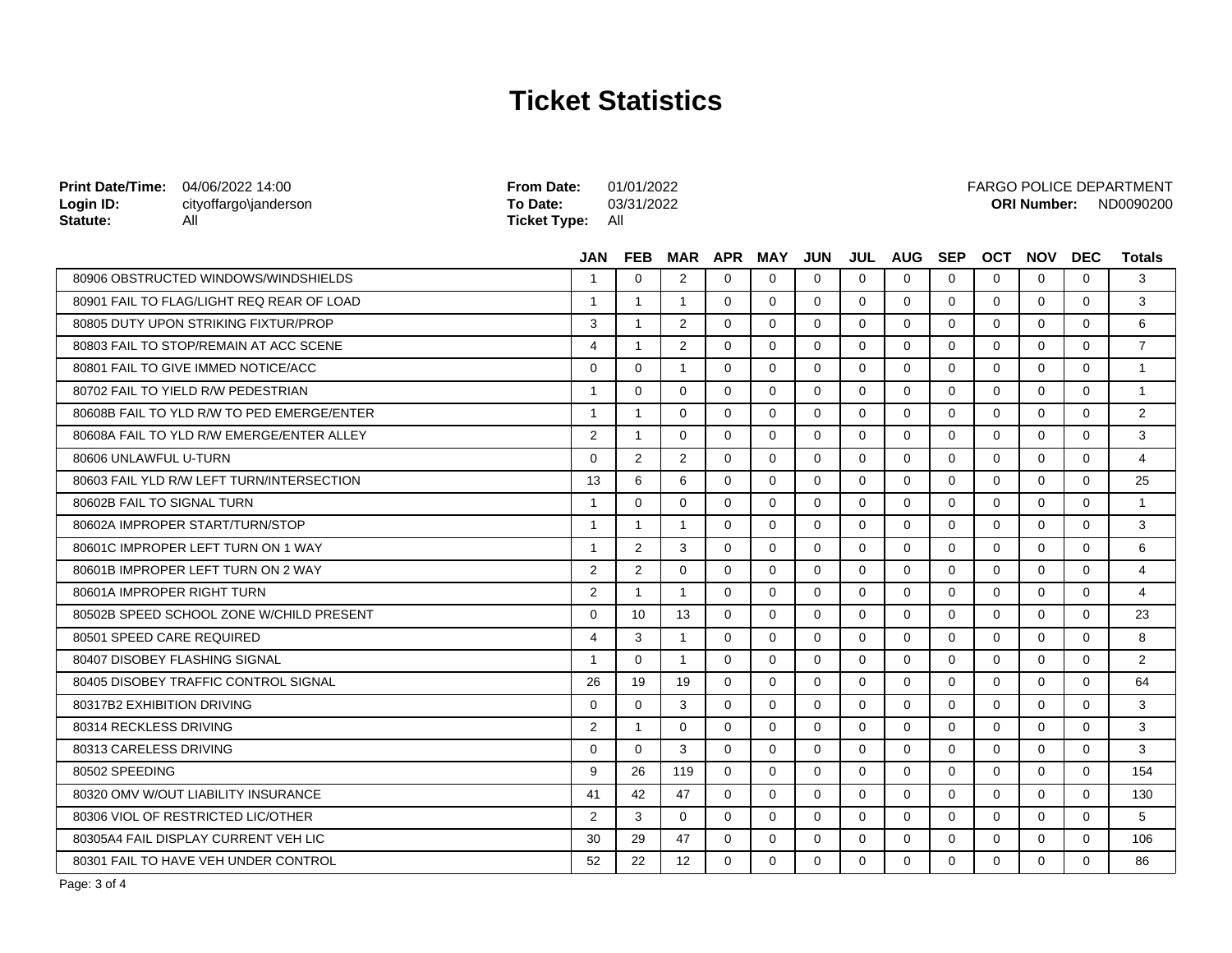| Print Date/Time: 04/06/2022 14:00<br><b>From Date:</b><br>To Date:<br>Login ID:<br>cityoffargo\janderson<br>Statute:<br><b>Ticket Type:</b><br>All |                | 01/01/2022<br>03/31/2022<br>All |                   |             |              |              |             |                | FARGO POLICE DEPARTMENT<br>ND0090200<br><b>ORI Number:</b> |              |              |             |                |  |  |  |  |
|----------------------------------------------------------------------------------------------------------------------------------------------------|----------------|---------------------------------|-------------------|-------------|--------------|--------------|-------------|----------------|------------------------------------------------------------|--------------|--------------|-------------|----------------|--|--|--|--|
|                                                                                                                                                    | JAN            | <b>FEB</b>                      |                   | MAR APR MAY |              | <b>JUN</b>   |             | <b>JUL AUG</b> | <b>SEP</b>                                                 | <b>OCT</b>   | <b>NOV</b>   | <b>DEC</b>  | <b>Totals</b>  |  |  |  |  |
| 80906 OBSTRUCTED WINDOWS/WINDSHIELDS                                                                                                               | $\mathbf{1}$   | $\Omega$                        | $\overline{2}$    | 0           | 0            | $\mathbf{0}$ | $\Omega$    | 0              | 0                                                          | $\Omega$     | $\Omega$     | $\Omega$    | 3              |  |  |  |  |
| 80901 FAIL TO FLAG/LIGHT REQ REAR OF LOAD                                                                                                          | $\mathbf{1}$   | $\mathbf{1}$                    | $\mathbf{1}$      | 0           | $\mathbf{0}$ | $\mathbf{0}$ | 0           | $\mathbf{0}$   | 0                                                          | $\mathbf{0}$ | $\mathbf 0$  | $\Omega$    | 3              |  |  |  |  |
| 80805 DUTY UPON STRIKING FIXTUR/PROP                                                                                                               | 3              | $\mathbf{1}$                    | $\overline{2}$    | $\mathbf 0$ | $\mathbf 0$  | $\mathbf 0$  | 0           | 0              | 0                                                          | $\mathbf 0$  | $\mathbf 0$  | $\mathbf 0$ | 6              |  |  |  |  |
| 80803 FAIL TO STOP/REMAIN AT ACC SCENE                                                                                                             | 4              | $\mathbf{1}$                    | $\overline{2}$    | $\Omega$    | $\Omega$     | $\Omega$     | $\mathbf 0$ | $\Omega$       | $\Omega$                                                   | $\Omega$     | $\Omega$     | $\Omega$    | $\overline{7}$ |  |  |  |  |
| 80801 FAIL TO GIVE IMMED NOTICE/ACC                                                                                                                | 0              | $\Omega$                        | 1                 | $\Omega$    | $\Omega$     | $\Omega$     | $\Omega$    | $\Omega$       | $\Omega$                                                   | $\Omega$     | $\Omega$     | $\Omega$    | $\mathbf{1}$   |  |  |  |  |
| 80702 FAIL TO YIELD R/W PEDESTRIAN                                                                                                                 | $\mathbf{1}$   | $\Omega$                        | $\Omega$          | $\Omega$    | $\Omega$     | $\Omega$     | $\Omega$    | $\Omega$       | $\Omega$                                                   | $\mathbf 0$  | $\mathbf{0}$ | $\Omega$    | $\mathbf{1}$   |  |  |  |  |
| 80608B FAIL TO YLD R/W TO PED EMERGE/ENTER                                                                                                         | $\mathbf{1}$   | $\mathbf{1}$                    | $\Omega$          | $\Omega$    | 0            | 0            | 0           | 0              | 0                                                          | $\mathbf 0$  | $\mathbf 0$  | $\mathbf 0$ | 2              |  |  |  |  |
| 80608A FAIL TO YLD R/W EMERGE/ENTER ALLEY                                                                                                          | $\overline{2}$ | $\mathbf{1}$                    | $\Omega$          | 0           | $\mathbf 0$  | 0            | 0           | 0              | 0                                                          | $\mathbf 0$  | $\mathbf 0$  | $\mathbf 0$ | 3              |  |  |  |  |
| 80606 UNLAWFUL U-TURN                                                                                                                              | $\Omega$       | $\overline{2}$                  | $\overline{2}$    | $\Omega$    | $\Omega$     | $\Omega$     | $\mathbf 0$ | $\Omega$       | $\Omega$                                                   | $\Omega$     | $\Omega$     | $\Omega$    | 4              |  |  |  |  |
| 80603 FAIL YLD R/W LEFT TURN/INTERSECTION                                                                                                          | 13             | 6                               | 6                 | $\Omega$    | $\Omega$     | $\Omega$     | $\Omega$    | $\Omega$       | $\Omega$                                                   | $\Omega$     | $\Omega$     | $\Omega$    | 25             |  |  |  |  |
| 80602B FAIL TO SIGNAL TURN                                                                                                                         | $\mathbf{1}$   | $\Omega$                        | $\Omega$          | $\Omega$    | $\Omega$     | $\mathbf 0$  | $\Omega$    | $\Omega$       | $\mathbf 0$                                                | $\mathbf 0$  | $\mathbf{0}$ | $\Omega$    | $\mathbf{1}$   |  |  |  |  |
| 80602A IMPROPER START/TURN/STOP                                                                                                                    | $\mathbf{1}$   | $\mathbf{1}$                    | $\mathbf{1}$      | $\Omega$    | $\mathbf{0}$ | 0            | 0           | 0              | 0                                                          | $\mathbf 0$  | $\mathbf 0$  | $\mathbf 0$ | 3              |  |  |  |  |
| 80601C IMPROPER LEFT TURN ON 1 WAY                                                                                                                 | $\mathbf{1}$   | 2                               | 3                 | $\Omega$    | $\Omega$     | $\mathbf 0$  | 0           | $\Omega$       | $\Omega$                                                   | $\Omega$     | $\mathbf 0$  | $\mathbf 0$ | 6              |  |  |  |  |
| 80601B IMPROPER LEFT TURN ON 2 WAY                                                                                                                 | $\overline{2}$ | $\overline{2}$                  | $\Omega$          | $\Omega$    | $\Omega$     | $\Omega$     | 0           | $\Omega$       | $\Omega$                                                   | $\Omega$     | $\Omega$     | $\Omega$    | 4              |  |  |  |  |
| 80601A IMPROPER RIGHT TURN                                                                                                                         | 2              | $\mathbf{1}$                    | $\mathbf{1}$      | $\Omega$    | $\Omega$     | $\Omega$     | $\Omega$    | $\Omega$       | 0                                                          | $\Omega$     | $\mathbf 0$  | $\Omega$    | 4              |  |  |  |  |
| 80502B SPEED SCHOOL ZONE W/CHILD PRESENT                                                                                                           | 0              | 10                              | 13                | $\mathbf 0$ | $\Omega$     | 0            | $\mathbf 0$ | $\mathbf 0$    | $\mathbf 0$                                                | $\mathbf{0}$ | $\mathbf{0}$ | $\Omega$    | 23             |  |  |  |  |
| 80501 SPEED CARE REQUIRED                                                                                                                          | 4              | 3                               | $\mathbf{1}$      | $\Omega$    | $\mathbf{0}$ | 0            | 0           | 0              | 0                                                          | $\Omega$     | $\mathbf 0$  | $\mathbf 0$ | 8              |  |  |  |  |
| 80407 DISOBEY FLASHING SIGNAL                                                                                                                      | $\mathbf{1}$   | $\Omega$                        | $\overline{1}$    | $\Omega$    | $\Omega$     | $\mathbf{0}$ | $\mathbf 0$ | $\Omega$       | 0                                                          | $\mathbf{0}$ | $\mathbf 0$  | $\mathbf 0$ | 2              |  |  |  |  |
| 80405 DISOBEY TRAFFIC CONTROL SIGNAL                                                                                                               | 26             | 19                              | 19                | $\Omega$    | $\Omega$     | $\Omega$     | $\mathbf 0$ | $\Omega$       | $\Omega$                                                   | $\Omega$     | $\Omega$     | $\Omega$    | 64             |  |  |  |  |
| 80317B2 EXHIBITION DRIVING                                                                                                                         | 0              | $\Omega$                        | 3                 | $\Omega$    | $\Omega$     | $\Omega$     | $\Omega$    | $\Omega$       | $\Omega$                                                   | $\Omega$     | $\Omega$     | $\Omega$    | 3              |  |  |  |  |
| 80314 RECKLESS DRIVING                                                                                                                             | 2              | $\mathbf{1}$                    | $\Omega$          | $\mathbf 0$ | $\Omega$     | 0            | $\mathbf 0$ | $\mathbf 0$    | $\mathbf 0$                                                | $\mathbf 0$  | $\mathbf{0}$ | $\Omega$    | 3              |  |  |  |  |
| 80313 CARELESS DRIVING                                                                                                                             | $\Omega$       | $\Omega$                        | 3                 | $\Omega$    | 0            | 0            | 0           | 0              | 0                                                          | $\Omega$     | $\mathbf 0$  | $\mathbf 0$ | 3              |  |  |  |  |
| 80502 SPEEDING                                                                                                                                     | 9              | 26                              | 119               | 0           | $\mathbf 0$  | 0            | 0           | 0              | 0                                                          | $\mathbf 0$  | $\mathbf 0$  | $\mathbf 0$ | 154            |  |  |  |  |
| 80320 OMV W/OUT LIABILITY INSURANCE                                                                                                                | 41             | 42                              | 47                | $\Omega$    | $\Omega$     | $\Omega$     | $\mathbf 0$ | $\Omega$       | $\Omega$                                                   | $\Omega$     | $\Omega$     | $\Omega$    | 130            |  |  |  |  |
| 80306 VIOL OF RESTRICTED LIC/OTHER                                                                                                                 | $\overline{2}$ | 3                               | $\Omega$          | $\Omega$    | $\Omega$     | $\Omega$     | $\Omega$    | $\Omega$       | 0                                                          | $\Omega$     | $\mathbf 0$  | $\Omega$    | 5              |  |  |  |  |
| 80305A4 FAIL DISPLAY CURRENT VEH LIC                                                                                                               | 30             | 29                              | 47                | 0           | 0            | 0            | 0           | 0              | 0                                                          | $\mathbf 0$  | 0            | 0           | 106            |  |  |  |  |
| 80301 FAIL TO HAVE VEH UNDER CONTROL                                                                                                               | 52             | 22                              | $12 \overline{ }$ | $\Omega$    | $\Omega$     | $\Omega$     | $\Omega$    | $\Omega$       | $\Omega$                                                   | $\Omega$     | $\Omega$     | $\Omega$    | 86             |  |  |  |  |